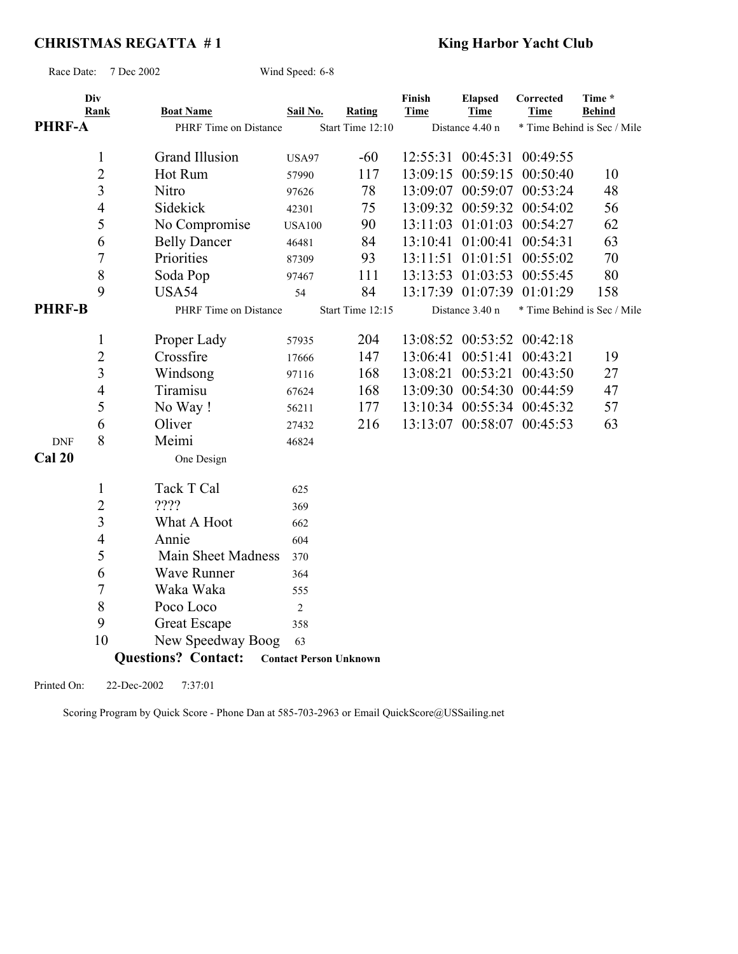# **CHRISTMAS REGATTA #1** King Harbor Yacht Club

Race Date: 7 Dec 2002 Wind Speed: 6-8

| <b>PHRF-A</b>        | Div<br>Rank              | <b>Boat Name</b><br>PHRF Time on Distance | Sail No.       | Rating<br>Start Time 12:10    | Finish<br><b>Time</b> | <b>Elapsed</b><br><b>Time</b><br>Distance 4.40 n | Corrected<br><b>Time</b>   | Time *<br><b>Behind</b><br>* Time Behind is Sec / Mile |
|----------------------|--------------------------|-------------------------------------------|----------------|-------------------------------|-----------------------|--------------------------------------------------|----------------------------|--------------------------------------------------------|
|                      |                          |                                           |                |                               |                       |                                                  |                            |                                                        |
|                      | $\mathbf{1}$             | Grand Illusion                            | <b>USA97</b>   | $-60$                         |                       | 12:55:31 00:45:31                                | 00:49:55                   |                                                        |
|                      | $\overline{2}$           | Hot Rum                                   | 57990          | 117                           | 13:09:15              | 00:59:15                                         | 00:50:40                   | 10                                                     |
|                      | 3                        | Nitro                                     | 97626          | 78                            | 13:09:07              | 00:59:07                                         | 00:53:24                   | 48                                                     |
|                      | $\overline{4}$           | Sidekick                                  | 42301          | 75                            |                       |                                                  | 13:09:32 00:59:32 00:54:02 | 56                                                     |
|                      | 5                        | No Compromise                             | <b>USA100</b>  | 90                            |                       |                                                  | 13:11:03 01:01:03 00:54:27 | 62                                                     |
|                      | 6                        | <b>Belly Dancer</b>                       | 46481          | 84                            | 13:10:41              | 01:00:41                                         | 00:54:31                   | 63                                                     |
|                      | 7                        | Priorities                                | 87309          | 93                            | 13:11:51              | 01:01:51                                         | 00:55:02                   | 70                                                     |
|                      | 8                        | Soda Pop                                  | 97467          | 111                           | 13:13:53              | 01:03:53                                         | 00:55:45                   | 80                                                     |
|                      | 9                        | USA54                                     | 54             | 84                            |                       | 13:17:39 01:07:39                                | 01:01:29                   | 158                                                    |
| <b>PHRF-B</b>        |                          | PHRF Time on Distance                     |                | Start Time 12:15              |                       | Distance 3.40 n                                  |                            | * Time Behind is Sec / Mile                            |
|                      | 1                        | Proper Lady                               | 57935          | 204                           |                       | 13:08:52 00:53:52                                | 00:42:18                   |                                                        |
|                      | $\overline{2}$           | Crossfire                                 | 17666          | 147                           | 13:06:41              | 00:51:41                                         | 00:43:21                   | 19                                                     |
|                      | 3                        | Windsong                                  | 97116          | 168                           |                       | 13:08:21 00:53:21                                | 00:43:50                   | 27                                                     |
|                      | $\overline{\mathcal{L}}$ | Tiramisu                                  | 67624          | 168                           | 13:09:30              | 00:54:30                                         | 00:44:59                   | 47                                                     |
|                      | 5                        | No Way!                                   | 56211          | 177                           | 13:10:34              |                                                  | 00:55:34 00:45:32          | 57                                                     |
|                      | 6                        | Oliver                                    |                | 216                           |                       |                                                  | 13:13:07 00:58:07 00:45:53 | 63                                                     |
|                      | 8                        | Meimi                                     | 27432          |                               |                       |                                                  |                            |                                                        |
| <b>DNF</b><br>Cal 20 |                          |                                           | 46824          |                               |                       |                                                  |                            |                                                        |
|                      |                          | One Design                                |                |                               |                       |                                                  |                            |                                                        |
|                      | $\mathbf{1}$             | Tack T Cal                                | 625            |                               |                       |                                                  |                            |                                                        |
|                      | $\overline{2}$           | ????                                      | 369            |                               |                       |                                                  |                            |                                                        |
|                      | 3                        | What A Hoot                               | 662            |                               |                       |                                                  |                            |                                                        |
|                      | 4                        | Annie                                     | 604            |                               |                       |                                                  |                            |                                                        |
|                      | 5                        | Main Sheet Madness                        | 370            |                               |                       |                                                  |                            |                                                        |
|                      | 6                        | Wave Runner                               | 364            |                               |                       |                                                  |                            |                                                        |
|                      | 7                        | Waka Waka                                 | 555            |                               |                       |                                                  |                            |                                                        |
|                      | 8                        | Poco Loco                                 | $\overline{2}$ |                               |                       |                                                  |                            |                                                        |
|                      | 9                        | <b>Great Escape</b>                       | 358            |                               |                       |                                                  |                            |                                                        |
|                      | 10                       | New Speedway Boog                         | 63             |                               |                       |                                                  |                            |                                                        |
|                      |                          | <b>Questions? Contact:</b>                |                | <b>Contact Person Unknown</b> |                       |                                                  |                            |                                                        |

Printed On: 22-Dec-2002 7:37:01

Scoring Program by Quick Score - Phone Dan at 585-703-2963 or Email QuickScore@USSailing.net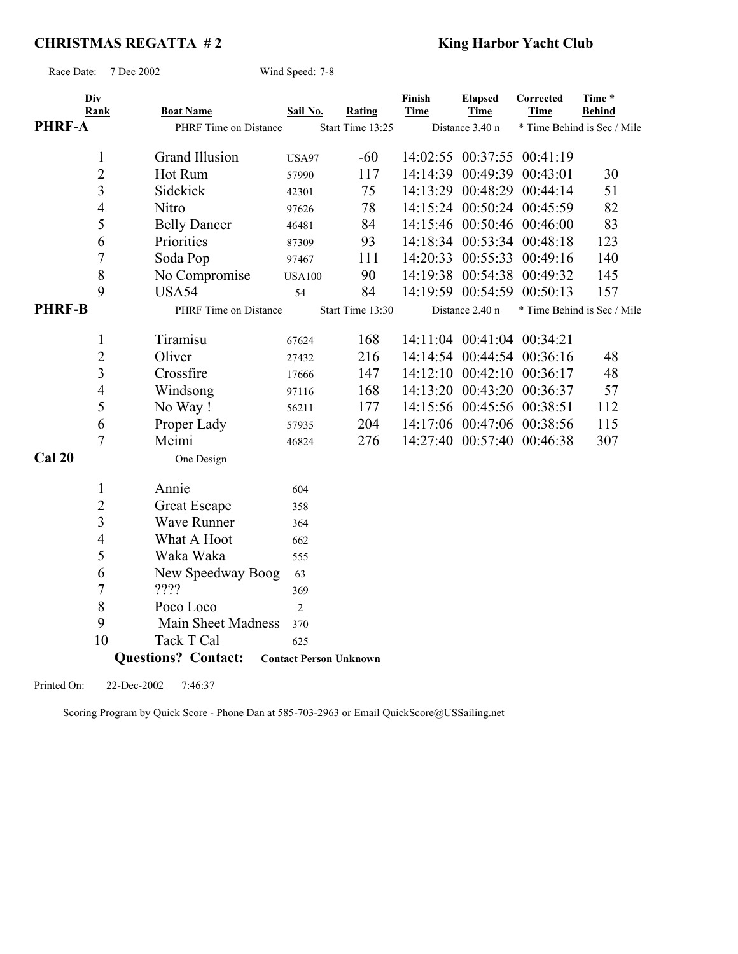# **CHRISTMAS REGATTA #2** King Harbor Yacht Club

Race Date: 7 Dec 2002 Wind Speed: 7-8

| Div<br>Rank<br><b>PHRF-A</b> | <b>Boat Name</b><br>PHRF Time on Distance | Sail No.       | Rating<br>Start Time 13:25    | Finish<br><b>Time</b> | <b>Elapsed</b><br><b>Time</b><br>Distance 3.40 n | Corrected<br>Time          | Time *<br><b>Behind</b><br>* Time Behind is Sec / Mile |
|------------------------------|-------------------------------------------|----------------|-------------------------------|-----------------------|--------------------------------------------------|----------------------------|--------------------------------------------------------|
| $\mathbf{1}$                 | <b>Grand Illusion</b>                     | <b>USA97</b>   | $-60$                         |                       | 14:02:55 00:37:55                                | 00:41:19                   |                                                        |
| $\overline{2}$               | Hot Rum                                   | 57990          | 117                           | 14:14:39              | 00:49:39                                         | 00:43:01                   | 30                                                     |
| 3                            | Sidekick                                  | 42301          | 75                            |                       |                                                  | 14:13:29 00:48:29 00:44:14 | 51                                                     |
| $\overline{4}$               | Nitro                                     | 97626          | 78                            |                       |                                                  | 14:15:24 00:50:24 00:45:59 | 82                                                     |
| 5                            | <b>Belly Dancer</b>                       | 46481          | 84                            |                       |                                                  | 14:15:46 00:50:46 00:46:00 | 83                                                     |
| 6                            | Priorities                                | 87309          | 93                            |                       |                                                  | 14:18:34 00:53:34 00:48:18 | 123                                                    |
| $\overline{7}$               | Soda Pop                                  | 97467          | 111                           | 14:20:33              | 00:55:33                                         | 00:49:16                   | 140                                                    |
| 8                            | No Compromise                             | <b>USA100</b>  | 90                            | 14:19:38              | 00:54:38                                         | 00:49:32                   | 145                                                    |
| 9                            | USA54                                     | 54             | 84                            |                       | 14:19:59 00:54:59                                | 00:50:13                   | 157                                                    |
| <b>PHRF-B</b>                | PHRF Time on Distance                     |                | Start Time 13:30              |                       | Distance 2.40 n                                  |                            | * Time Behind is Sec / Mile                            |
| $\mathbf{1}$                 | Tiramisu                                  | 67624          | 168                           |                       |                                                  | 14:11:04 00:41:04 00:34:21 |                                                        |
| $\overline{c}$               | Oliver                                    | 27432          | 216                           |                       |                                                  | 14:14:54 00:44:54 00:36:16 | 48                                                     |
| $\overline{\mathbf{3}}$      | Crossfire                                 | 17666          | 147                           |                       |                                                  | 14:12:10 00:42:10 00:36:17 | 48                                                     |
| $\overline{4}$               | Windsong                                  | 97116          | 168                           |                       | 14:13:20 00:43:20                                | 00:36:37                   | 57                                                     |
| 5                            | No Way!                                   | 56211          | 177                           |                       |                                                  | 14:15:56 00:45:56 00:38:51 | 112                                                    |
| 6                            | Proper Lady                               | 57935          | 204                           |                       |                                                  | 14:17:06 00:47:06 00:38:56 | 115                                                    |
| $\overline{7}$               | Meimi                                     | 46824          | 276                           |                       |                                                  | 14:27:40 00:57:40 00:46:38 | 307                                                    |
| Cal 20                       | One Design                                |                |                               |                       |                                                  |                            |                                                        |
| $\mathbf{1}$                 | Annie                                     | 604            |                               |                       |                                                  |                            |                                                        |
| $\overline{c}$               | Great Escape                              | 358            |                               |                       |                                                  |                            |                                                        |
| $\overline{3}$               | <b>Wave Runner</b>                        | 364            |                               |                       |                                                  |                            |                                                        |
| 4                            | What A Hoot                               | 662            |                               |                       |                                                  |                            |                                                        |
| 5                            | Waka Waka                                 | 555            |                               |                       |                                                  |                            |                                                        |
| 6                            | New Speedway Boog                         | 63             |                               |                       |                                                  |                            |                                                        |
| 7                            | ????                                      | 369            |                               |                       |                                                  |                            |                                                        |
| 8                            | Poco Loco                                 | $\overline{2}$ |                               |                       |                                                  |                            |                                                        |
| 9                            | Main Sheet Madness                        | 370            |                               |                       |                                                  |                            |                                                        |
| 10                           | Tack T Cal                                | 625            |                               |                       |                                                  |                            |                                                        |
|                              | <b>Questions? Contact:</b>                |                | <b>Contact Person Unknown</b> |                       |                                                  |                            |                                                        |

Printed On: 22-Dec-2002 7:46:37

Scoring Program by Quick Score - Phone Dan at 585-703-2963 or Email QuickScore@USSailing.net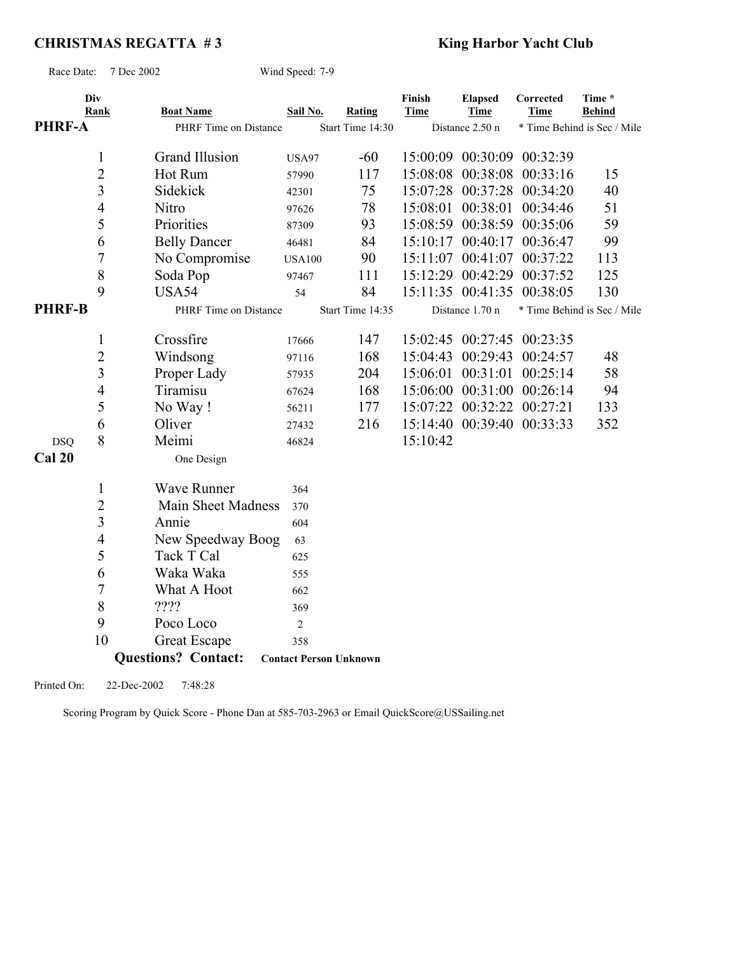# **CHRISTMAS REGATTA #3** King Harbor Yacht Club

Race Date: 7 Dec 2002 Wind Speed: 7-9

| <b>PHRF-A</b> | Div<br>Rank    | <b>Boat Name</b><br>PHRF Time on Distance | Sail No.       | Rating<br>Start Time 14:30    | Finish<br><b>Time</b> | <b>Elapsed</b><br><b>Time</b><br>Distance 2.50 n | Corrected<br><b>Time</b>   | Time *<br><b>Behind</b><br>* Time Behind is Sec / Mile |
|---------------|----------------|-------------------------------------------|----------------|-------------------------------|-----------------------|--------------------------------------------------|----------------------------|--------------------------------------------------------|
|               | $\mathbf{1}$   | Grand Illusion                            | <b>USA97</b>   | $-60$                         |                       |                                                  | 15:00:09 00:30:09 00:32:39 |                                                        |
|               | 2              | Hot Rum                                   | 57990          | 117                           | 15:08:08              |                                                  | 00:38:08 00:33:16          | 15                                                     |
|               | 3              | Sidekick                                  | 42301          | 75                            | 15:07:28              |                                                  | 00:37:28 00:34:20          | 40                                                     |
|               | $\overline{4}$ | Nitro                                     | 97626          | 78                            | 15:08:01              |                                                  | 00:38:01 00:34:46          | 51                                                     |
|               | 5              | Priorities                                | 87309          | 93                            |                       |                                                  | 15:08:59 00:38:59 00:35:06 | 59                                                     |
|               | 6              | <b>Belly Dancer</b>                       | 46481          | 84                            | 15:10:17              |                                                  | 00:40:17 00:36:47          | 99                                                     |
|               | 7              | No Compromise                             | <b>USA100</b>  | 90                            | 15:11:07              | 00:41:07                                         | 00:37:22                   | 113                                                    |
|               | $8\,$          | Soda Pop                                  | 97467          | 111                           | 15:12:29              | 00:42:29                                         | 00:37:52                   | 125                                                    |
|               | 9              | USA54                                     | 54             | 84                            |                       | 15:11:35 00:41:35                                | 00:38:05                   | 130                                                    |
| <b>PHRF-B</b> |                | PHRF Time on Distance                     |                | Start Time 14:35              |                       | Distance 1.70 n                                  |                            | * Time Behind is Sec / Mile                            |
|               | 1              | Crossfire                                 | 17666          | 147                           |                       |                                                  | 15:02:45 00:27:45 00:23:35 |                                                        |
|               | $\sqrt{2}$     | Windsong                                  | 97116          | 168                           | 15:04:43              |                                                  | 00:29:43 00:24:57          | 48                                                     |
|               | 3              | Proper Lady                               | 57935          | 204                           | 15:06:01              | 00:31:01                                         | 00:25:14                   | 58                                                     |
|               | $\overline{4}$ | Tiramisu                                  | 67624          | 168                           | 15:06:00              |                                                  | 00:31:00 00:26:14          | 94                                                     |
|               | 5              | No Way!                                   | 56211          | 177                           | 15:07:22              |                                                  | 00:32:22 00:27:21          | 133                                                    |
|               | 6              | Oliver                                    | 27432          | 216                           |                       |                                                  | 15:14:40 00:39:40 00:33:33 | 352                                                    |
| <b>DSQ</b>    | 8              | Meimi                                     | 46824          |                               | 15:10:42              |                                                  |                            |                                                        |
| Cal 20        |                | One Design                                |                |                               |                       |                                                  |                            |                                                        |
|               | $\mathbf{1}$   | <b>Wave Runner</b>                        | 364            |                               |                       |                                                  |                            |                                                        |
|               | $\sqrt{2}$     | Main Sheet Madness                        | 370            |                               |                       |                                                  |                            |                                                        |
|               | 3              | Annie                                     | 604            |                               |                       |                                                  |                            |                                                        |
|               | $\overline{4}$ | New Speedway Boog                         | 63             |                               |                       |                                                  |                            |                                                        |
|               | 5              | Tack T Cal                                | 625            |                               |                       |                                                  |                            |                                                        |
|               | 6              | Waka Waka                                 | 555            |                               |                       |                                                  |                            |                                                        |
|               | 7              | What A Hoot                               | 662            |                               |                       |                                                  |                            |                                                        |
|               | $8\,$          | ????                                      | 369            |                               |                       |                                                  |                            |                                                        |
|               | 9              | Poco Loco                                 | $\overline{c}$ |                               |                       |                                                  |                            |                                                        |
|               | 10             | Great Escape                              | 358            |                               |                       |                                                  |                            |                                                        |
|               |                | <b>Questions? Contact:</b>                |                | <b>Contact Person Unknown</b> |                       |                                                  |                            |                                                        |

Printed On: 22-Dec-2002 7:48:28

Scoring Program by Quick Score - Phone Dan at 585-703-2963 or Email QuickScore@USSailing.net